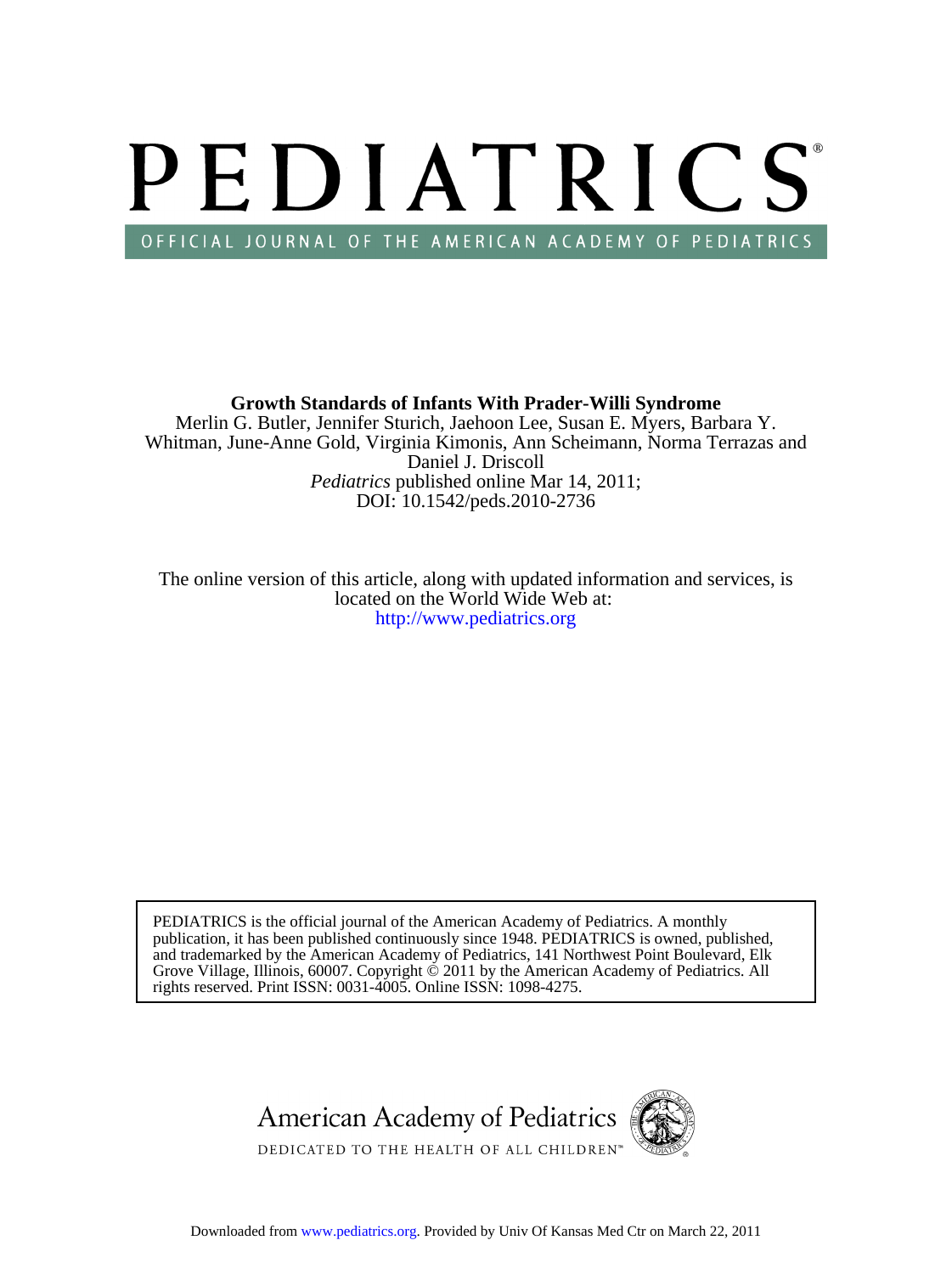# PEDIATRICS OFFICIAL JOURNAL OF THE AMERICAN ACADEMY OF PEDIATRICS

DOI: 10.1542/peds.2010-2736 *Pediatrics* published online Mar 14, 2011; Daniel J. Driscoll Whitman, June-Anne Gold, Virginia Kimonis, Ann Scheimann, Norma Terrazas and Merlin G. Butler, Jennifer Sturich, Jaehoon Lee, Susan E. Myers, Barbara Y. **Growth Standards of Infants With Prader-Willi Syndrome**

<http://www.pediatrics.org> located on the World Wide Web at: The online version of this article, along with updated information and services, is

rights reserved. Print ISSN: 0031-4005. Online ISSN: 1098-4275. Grove Village, Illinois, 60007. Copyright  $\ddot{\odot}$  2011 by the American Academy of Pediatrics. All and trademarked by the American Academy of Pediatrics, 141 Northwest Point Boulevard, Elk publication, it has been published continuously since 1948. PEDIATRICS is owned, published, PEDIATRICS is the official journal of the American Academy of Pediatrics. A monthly

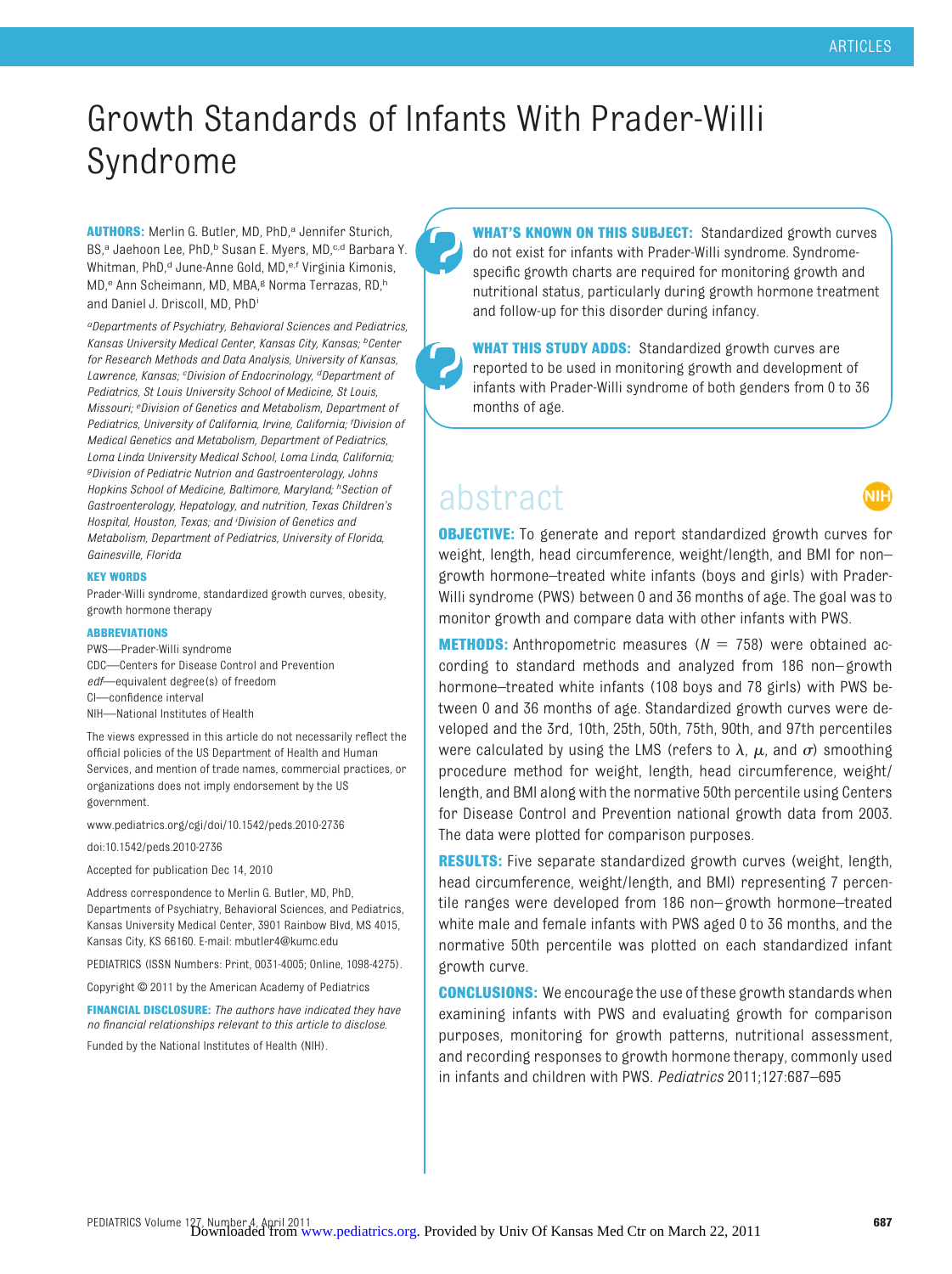WБ

## Growth Standards of Infants With Prader-Willi Syndrome

AUTHORS: Merlin G. Butler, MD, PhD,<sup>a</sup> Jennifer Sturich, BS,<sup>a</sup> Jaehoon Lee, PhD,<sup>b</sup> Susan E. Myers, MD,<sup>c,d</sup> Barbara Y. Whitman, PhD,<sup>d</sup> June-Anne Gold, MD,<sup>e,f</sup> Virginia Kimonis, MD,<sup>e</sup> Ann Scheimann, MD, MBA,<sup>g</sup> Norma Terrazas, RD,<sup>h</sup> and Daniel J. Driscoll, MD, PhDi

*aDepartments of Psychiatry, Behavioral Sciences and Pediatrics, Kansas University Medical Center, Kansas City, Kansas; bCenter for Research Methods and Data Analysis, University of Kansas, Lawrence, Kansas; <sup>c</sup> Division of Endocrinology, dDepartment of Pediatrics, St Louis University School of Medicine, St Louis, Missouri; <sup>e</sup> Division of Genetics and Metabolism, Department of Pediatrics, University of California, Irvine, California; <sup>f</sup> Division of Medical Genetics and Metabolism, Department of Pediatrics, Loma Linda University Medical School, Loma Linda, California; gDivision of Pediatric Nutrion and Gastroenterology, Johns Hopkins School of Medicine, Baltimore, Maryland; hSection of Gastroenterology, Hepatology, and nutrition, Texas Children's Hospital, Houston, Texas; and <sup>i</sup> Division of Genetics and Metabolism, Department of Pediatrics, University of Florida, Gainesville, Florida*

#### **KEY WORDS**

Prader-Willi syndrome, standardized growth curves, obesity, growth hormone therapy

#### **ABBREVIATIONS**

PWS—Prader-Willi syndrome

- CDC—Centers for Disease Control and Prevention
- *edf*—equivalent degree(s) of freedom
- CI—confidence interval
- NIH—National Institutes of Health

The views expressed in this article do not necessarily reflect the official policies of the US Department of Health and Human Services, and mention of trade names, commercial practices, or organizations does not imply endorsement by the US government.

www.pediatrics.org/cgi/doi/10.1542/peds.2010-2736

doi:10.1542/peds.2010-2736

Accepted for publication Dec 14, 2010

Address correspondence to Merlin G. Butler, MD, PhD, Departments of Psychiatry, Behavioral Sciences, and Pediatrics, Kansas University Medical Center, 3901 Rainbow Blvd, MS 4015, Kansas City, KS 66160. E-mail: mbutler4@kumc.edu

PEDIATRICS (ISSN Numbers: Print, 0031-4005; Online, 1098-4275).

Copyright © 2011 by the American Academy of Pediatrics

**FINANCIAL DISCLOSURE:** *The authors have indicated they have no financial relationships relevant to this article to disclose.*

Funded by the National Institutes of Health (NIH).

**WHAT'S KNOWN ON THIS SUBJECT:** Standardized growth curves do not exist for infants with Prader-Willi syndrome. Syndromespecific growth charts are required for monitoring growth and nutritional status, particularly during growth hormone treatment and follow-up for this disorder during infancy.

**WHAT THIS STUDY ADDS:** Standardized growth curves are reported to be used in monitoring growth and development of infants with Prader-Willi syndrome of both genders from 0 to 36 months of age.

### abstract

**OBJECTIVE:** To generate and report standardized growth curves for weight, length, head circumference, weight/length, and BMI for non– growth hormone–treated white infants (boys and girls) with Prader-Willi syndrome (PWS) between 0 and 36 months of age. The goal was to monitor growth and compare data with other infants with PWS.

**METHODS:** Anthropometric measures  $(N = 758)$  were obtained according to standard methods and analyzed from 186 non– growth hormone–treated white infants (108 boys and 78 girls) with PWS between 0 and 36 months of age. Standardized growth curves were developed and the 3rd, 10th, 25th, 50th, 75th, 90th, and 97th percentiles were calculated by using the LMS (refers to  $\lambda$ ,  $\mu$ , and  $\sigma$ ) smoothing procedure method for weight, length, head circumference, weight/ length, and BMI along with the normative 50th percentile using Centers for Disease Control and Prevention national growth data from 2003. The data were plotted for comparison purposes.

**RESULTS:** Five separate standardized growth curves (weight, length, head circumference, weight/length, and BMI) representing 7 percentile ranges were developed from 186 non– growth hormone–treated white male and female infants with PWS aged 0 to 36 months, and the normative 50th percentile was plotted on each standardized infant growth curve.

**CONCLUSIONS:** We encourage the use of these growth standards when examining infants with PWS and evaluating growth for comparison purposes, monitoring for growth patterns, nutritional assessment, and recording responses to growth hormone therapy, commonly used in infants and children with PWS. *Pediatrics* 2011;127:687–695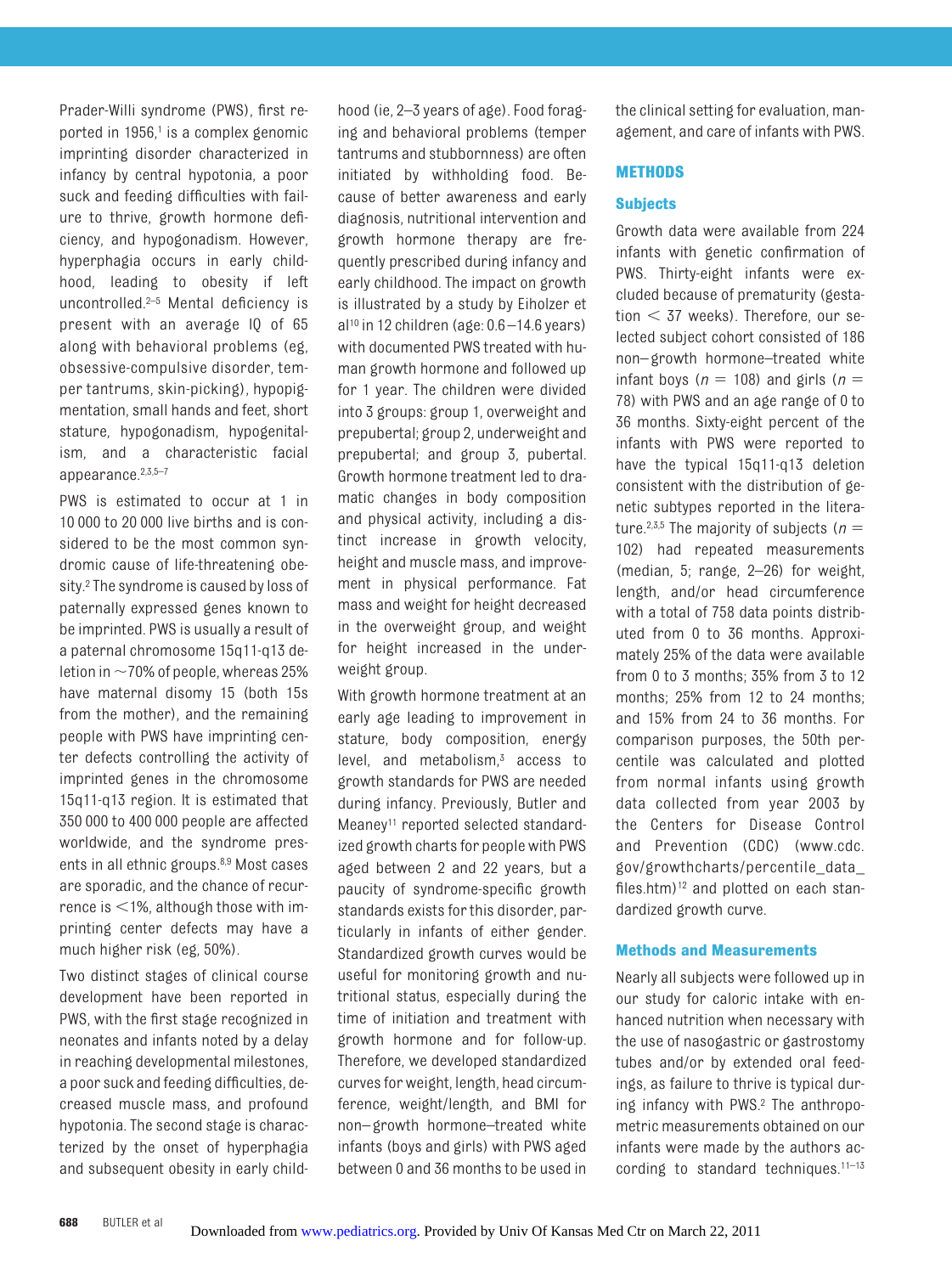Prader-Willi syndrome (PWS), first reported in  $1956<sup>1</sup>$  is a complex genomic imprinting disorder characterized in infancy by central hypotonia, a poor suck and feeding difficulties with failure to thrive, growth hormone deficiency, and hypogonadism. However, hyperphagia occurs in early childhood, leading to obesity if left uncontrolled.<sup>2–[5](#page-9-2)</sup> Mental deficiency is present with an average IQ of 65 along with behavioral problems (eg, obsessive-compulsive disorder, temper tantrums, skin-picking), hypopigmentation, small hands and feet, short stature, hypogonadism, hypogenitalism, and a characteristic facial appearance[.2](#page-9-1)[,3,](#page-9-3)[5](#page-9-2)[–7](#page-9-4)

PWS is estimated to occur at 1 in 10 000 to 20 000 live births and is considered to be the most common syndromic cause of life-threatening obesity[.2](#page-9-1) The syndrome is caused by loss of paternally expressed genes known to be imprinted. PWS is usually a result of a paternal chromosome 15q11-q13 deletion in  $\sim$  70% of people, whereas 25% have maternal disomy 15 (both 15s from the mother), and the remaining people with PWS have imprinting center defects controlling the activity of imprinted genes in the chromosome 15q11-q13 region. It is estimated that 350 000 to 400 000 people are affected worldwide, and the syndrome presents in all ethnic groups[.8](#page-9-5)[,9](#page-9-6) Most cases are sporadic, and the chance of recurrence is  $<$  1%, although those with imprinting center defects may have a much higher risk (eg, 50%).

Two distinct stages of clinical course development have been reported in PWS, with the first stage recognized in neonates and infants noted by a delay in reaching developmental milestones, a poor suck and feeding difficulties, decreased muscle mass, and profound hypotonia. The second stage is characterized by the onset of hyperphagia and subsequent obesity in early childhood (ie, 2–3 years of age). Food foraging and behavioral problems (temper tantrums and stubbornness) are often initiated by withholding food. Because of better awareness and early diagnosis, nutritional intervention and growth hormone therapy are frequently prescribed during infancy and early childhood. The impact on growth is illustrated by a study by Eiholzer et  $al^{10}$  in 12 children (age:  $0.6 - 14.6$  years) with documented PWS treated with human growth hormone and followed up for 1 year. The children were divided into 3 groups: group 1, overweight and prepubertal; group 2, underweight and prepubertal; and group 3, pubertal. Growth hormone treatment led to dramatic changes in body composition and physical activity, including a distinct increase in growth velocity, height and muscle mass, and improvement in physical performance. Fat mass and weight for height decreased in the overweight group, and weight for height increased in the underweight group.

With growth hormone treatment at an early age leading to improvement in stature, body composition, energy level, and metabolism,<sup>3</sup> access to growth standards for PWS are needed during infancy. Previously, Butler and Meaney<sup>11</sup> reported selected standardized growth charts for people with PWS aged between 2 and 22 years, but a paucity of syndrome-specific growth standards exists for this disorder, particularly in infants of either gender. Standardized growth curves would be useful for monitoring growth and nutritional status, especially during the time of initiation and treatment with growth hormone and for follow-up. Therefore, we developed standardized curves for weight, length, head circumference, weight/length, and BMI for non– growth hormone–treated white infants (boys and girls) with PWS aged between 0 and 36 months to be used in

the clinical setting for evaluation, management, and care of infants with PWS.

#### **METHODS**

#### **Subjects**

Growth data were available from 224 infants with genetic confirmation of PWS. Thirty-eight infants were excluded because of prematurity (gestation  $<$  37 weeks). Therefore, our selected subject cohort consisted of 186 non– growth hormone–treated white infant boys ( $n = 108$ ) and girls ( $n =$ 78) with PWS and an age range of 0 to 36 months. Sixty-eight percent of the infants with PWS were reported to have the typical 15q11-q13 deletion consistent with the distribution of genetic subtypes reported in the litera-ture.<sup>2,[3](#page-9-3)[,5](#page-9-2)</sup> The majority of subjects ( $n =$ 102) had repeated measurements (median, 5; range, 2–26) for weight, length, and/or head circumference with a total of 758 data points distributed from 0 to 36 months. Approximately 25% of the data were available from 0 to 3 months; 35% from 3 to 12 months; 25% from 12 to 24 months; and 15% from 24 to 36 months. For comparison purposes, the 50th percentile was calculated and plotted from normal infants using growth data collected from year 2003 by the Centers for Disease Control and Prevention (CDC) (www.cdc. gov/growthcharts/percentile\_data\_ files.htm) $12$  and plotted on each standardized growth curve.

#### **Methods and Measurements**

Nearly all subjects were followed up in our study for caloric intake with enhanced nutrition when necessary with the use of nasogastric or gastrostomy tubes and/or by extended oral feedings, as failure to thrive is typical during infancy with PWS[.2](#page-9-1) The anthropometric measurements obtained on our infants were made by the authors according to standard techniques.<sup>11-13</sup>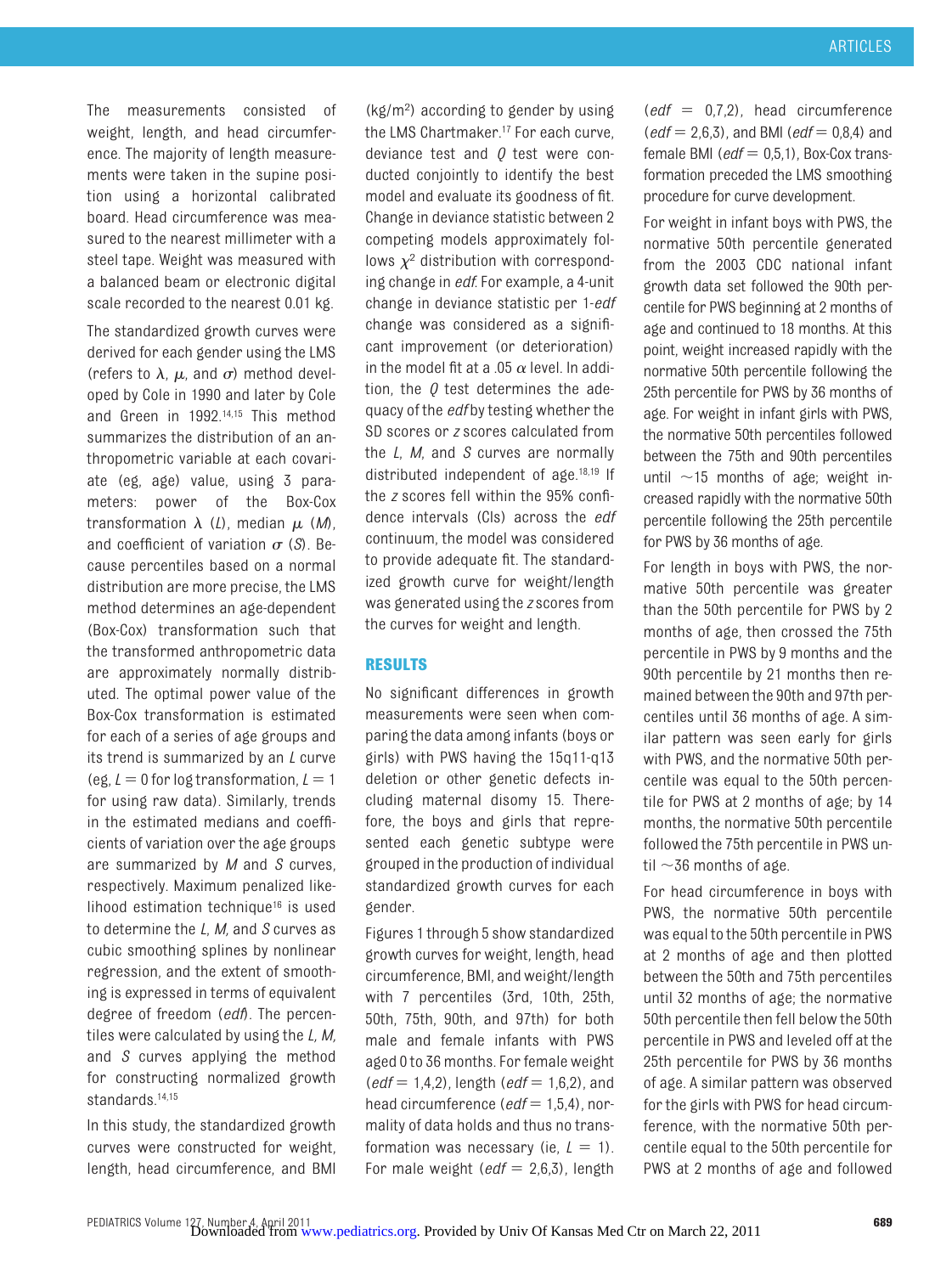The measurements consisted of weight, length, and head circumference. The majority of length measurements were taken in the supine position using a horizontal calibrated board. Head circumference was measured to the nearest millimeter with a steel tape. Weight was measured with a balanced beam or electronic digital scale recorded to the nearest 0.01 kg.

The standardized growth curves were derived for each gender using the LMS (refers to  $\lambda$ ,  $\mu$ , and  $\sigma$ ) method developed by Cole in 1990 and later by Cole and Green in 1992[.14](#page-9-11)[,15](#page-9-12) This method summarizes the distribution of an anthropometric variable at each covariate (eg, age) value, using 3 parameters: power of the Box-Cox transformation  $\lambda$  (*L*), median  $\mu$  (*M*), and coefficient of variation  $\sigma$  (*S*). Because percentiles based on a normal distribution are more precise, the LMS method determines an age-dependent (Box-Cox) transformation such that the transformed anthropometric data are approximately normally distributed. The optimal power value of the Box-Cox transformation is estimated for each of a series of age groups and its trend is summarized by an *L* curve (eg,  $L = 0$  for log transformation,  $L = 1$ for using raw data). Similarly, trends in the estimated medians and coefficients of variation over the age groups are summarized by *M* and *S* curves, respectively. Maximum penalized likelihood estimation techniqu[e16](#page-9-13) is used to determine the *L*, *M,* and *S* curves as cubic smoothing splines by nonlinear regression, and the extent of smoothing is expressed in terms of equivalent degree of freedom (*edf*). The percentiles were calculated by using the *L, M,* and *S* curves applying the method for constructing normalized growth standards[.14,](#page-9-11)[15](#page-9-12)

In this study, the standardized growth curves were constructed for weight, length, head circumference, and BMI

(kg/m2 ) according to gender by using the LMS Chartmaker.<sup>17</sup> For each curve, deviance test and *Q* test were conducted conjointly to identify the best model and evaluate its goodness of fit. Change in deviance statistic between 2 competing models approximately follows  $\chi^2$  distribution with corresponding change in *edf*. For example, a 4-unit change in deviance statistic per 1-*edf* change was considered as a significant improvement (or deterioration) in the model fit at a .05  $\alpha$  level. In addition, the *Q* test determines the adequacy of the *edf* by testing whether the SD scores or *z* scores calculated from the *L*, *M*, and *S* curves are normally distributed independent of age[.18](#page-9-15)[,19](#page-9-16) If the *z* scores fell within the 95% confidence intervals (CIs) across the *edf* continuum, the model was considered to provide adequate fit. The standardized growth curve for weight/length was generated using the *z* scores from the curves for weight and length.

#### **RESULTS**

No significant differences in growth measurements were seen when comparing the data among infants (boys or girls) with PWS having the 15q11-q13 deletion or other genetic defects including maternal disomy 15. Therefore, the boys and girls that represented each genetic subtype were grouped in the production of individual standardized growth curves for each gender.

Figures 1 through 5 show standardized growth curves for weight, length, head circumference, BMI, and weight/length with 7 percentiles (3rd, 10th, 25th, 50th, 75th, 90th, and 97th) for both male and female infants with PWS aged 0 to 36 months. For female weight  $(edf = 1, 4, 2)$ , length  $(edf = 1, 6, 2)$ , and head circumference (*edf* = 1,5,4), normality of data holds and thus no transformation was necessary (ie,  $L = 1$ ). For male weight  $(edf = 2.6,3)$ , length  $\text{(edf = 0.7.2)}$ , head circumference  $(edf = 2,6,3)$ , and BMI (*edf* = 0,8,4) and female BMI ( $edf = 0.5.1$ ), Box-Cox transformation preceded the LMS smoothing procedure for curve development.

For weight in infant boys with PWS, the normative 50th percentile generated from the 2003 CDC national infant growth data set followed the 90th percentile for PWS beginning at 2 months of age and continued to 18 months. At this point, weight increased rapidly with the normative 50th percentile following the 25th percentile for PWS by 36 months of age. For weight in infant girls with PWS, the normative 50th percentiles followed between the 75th and 90th percentiles until  $\sim$ 15 months of age; weight increased rapidly with the normative 50th percentile following the 25th percentile for PWS by 36 months of age.

For length in boys with PWS, the normative 50th percentile was greater than the 50th percentile for PWS by 2 months of age, then crossed the 75th percentile in PWS by 9 months and the 90th percentile by 21 months then remained between the 90th and 97th percentiles until 36 months of age. A similar pattern was seen early for girls with PWS, and the normative 50th percentile was equal to the 50th percentile for PWS at 2 months of age; by 14 months, the normative 50th percentile followed the 75th percentile in PWS until  $\sim$ 36 months of age.

For head circumference in boys with PWS, the normative 50th percentile was equal to the 50th percentile in PWS at 2 months of age and then plotted between the 50th and 75th percentiles until 32 months of age; the normative 50th percentile then fell below the 50th percentile in PWS and leveled off at the 25th percentile for PWS by 36 months of age. A similar pattern was observed for the girls with PWS for head circumference, with the normative 50th percentile equal to the 50th percentile for PWS at 2 months of age and followed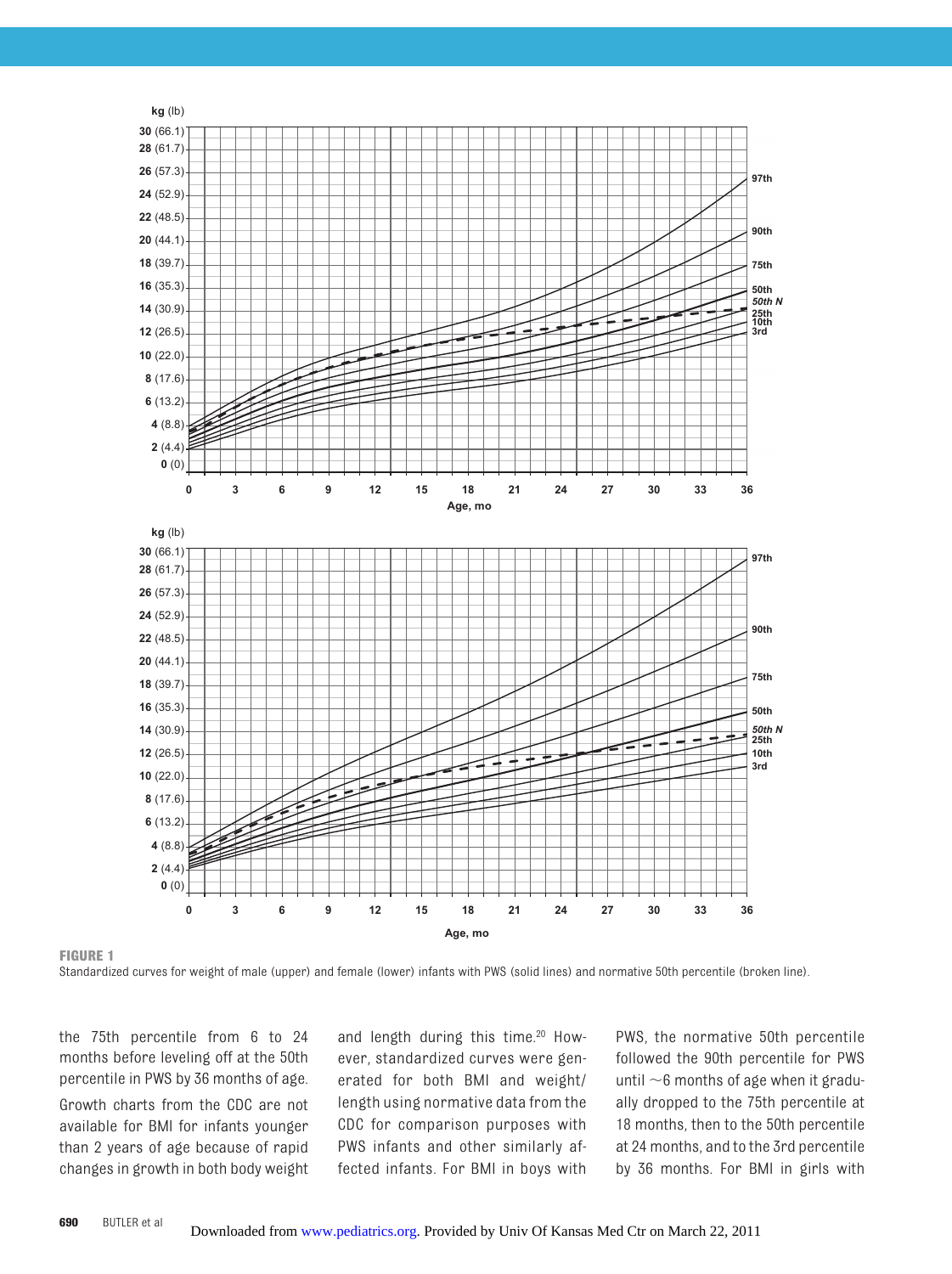

**FIGURE 1**

Standardized curves for weight of male (upper) and female (lower) infants with PWS (solid lines) and normative 50th percentile (broken line).

the 75th percentile from 6 to 24 months before leveling off at the 50th percentile in PWS by 36 months of age. Growth charts from the CDC are not available for BMI for infants younger than 2 years of age because of rapid changes in growth in both body weight

and length during this time.<sup>20</sup> However, standardized curves were generated for both BMI and weight/ length using normative data from the CDC for comparison purposes with PWS infants and other similarly affected infants. For BMI in boys with

PWS, the normative 50th percentile followed the 90th percentile for PWS until  $\sim$ 6 months of age when it gradually dropped to the 75th percentile at 18 months, then to the 50th percentile at 24 months, and to the 3rd percentile by 36 months. For BMI in girls with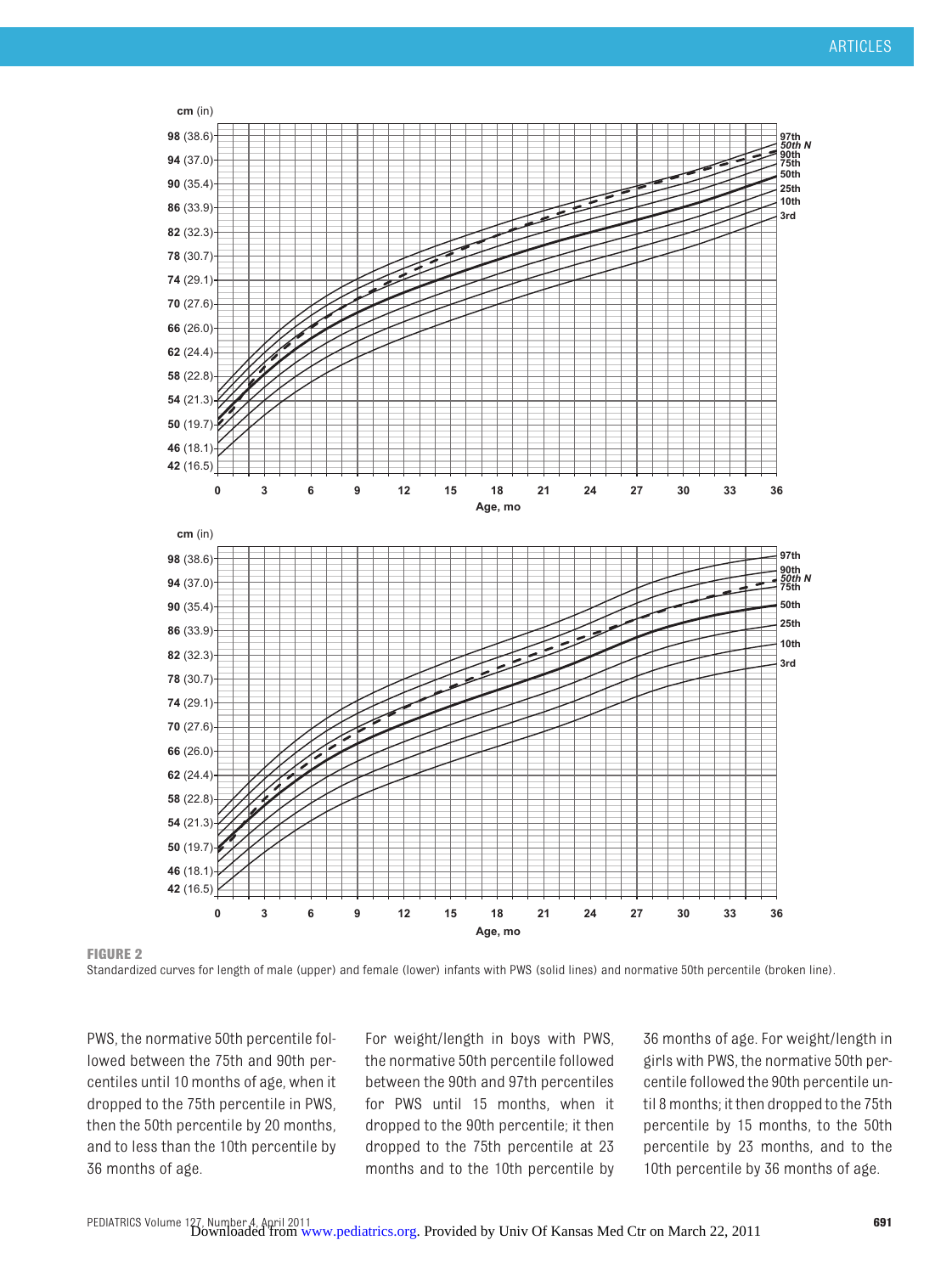

**FIGURE 2**

Standardized curves for length of male (upper) and female (lower) infants with PWS (solid lines) and normative 50th percentile (broken line).

PWS, the normative 50th percentile followed between the 75th and 90th percentiles until 10 months of age, when it dropped to the 75th percentile in PWS, then the 50th percentile by 20 months, and to less than the 10th percentile by 36 months of age.

For weight/length in boys with PWS, the normative 50th percentile followed between the 90th and 97th percentiles for PWS until 15 months, when it dropped to the 90th percentile; it then dropped to the 75th percentile at 23 months and to the 10th percentile by

36 months of age. For weight/length in girls with PWS, the normative 50th percentile followed the 90th percentile until 8 months; it then dropped to the 75th percentile by 15 months, to the 50th percentile by 23 months, and to the 10th percentile by 36 months of age.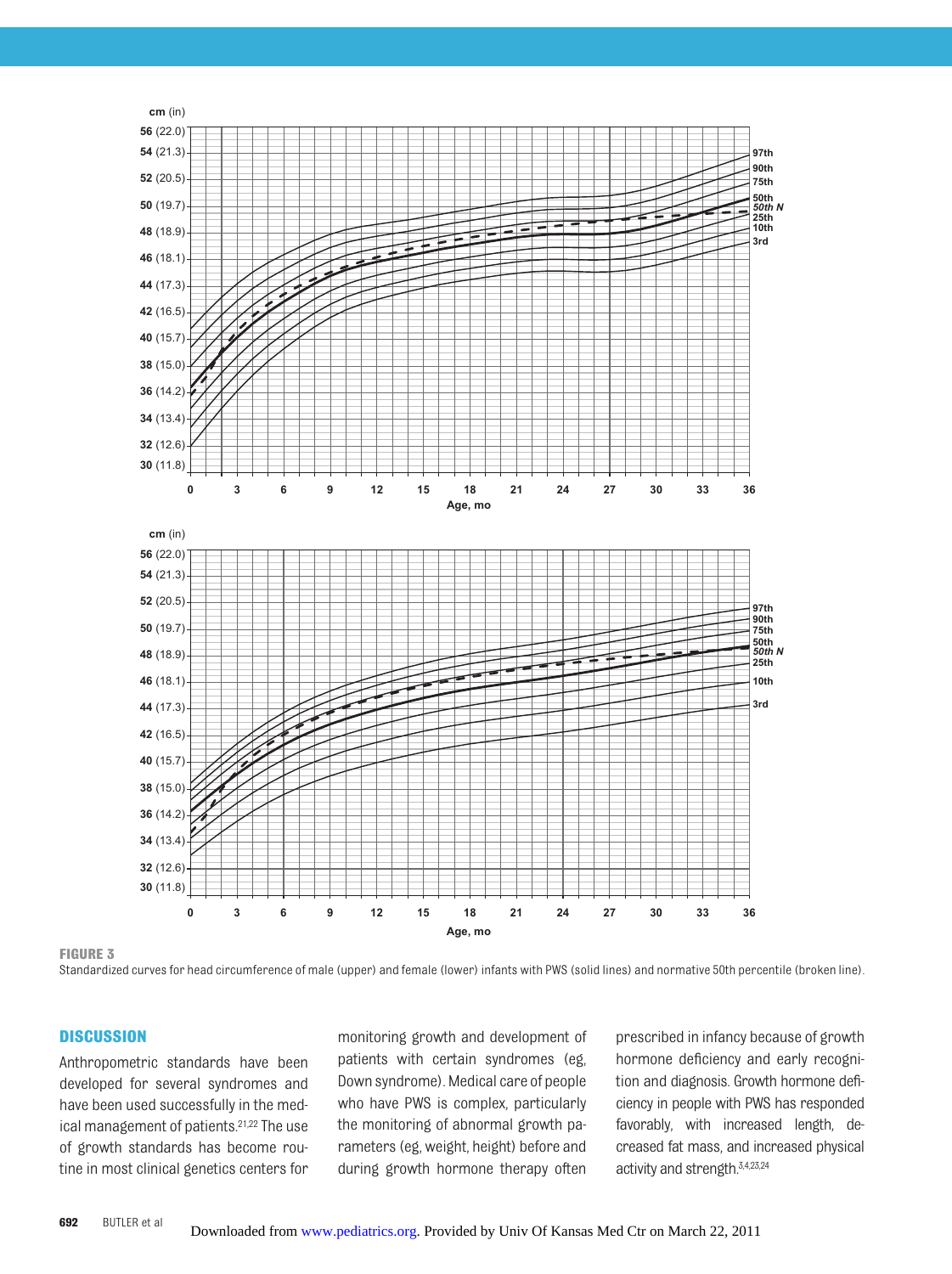

**FIGURE 3**

Standardized curves for head circumference of male (upper) and female (lower) infants with PWS (solid lines) and normative 50th percentile (broken line).

#### **DISCUSSION**

Anthropometric standards have been developed for several syndromes and have been used successfully in the medical management of patients[.21,](#page-9-18)[22](#page-9-19) The use of growth standards has become routine in most clinical genetics centers for monitoring growth and development of patients with certain syndromes (eg, Down syndrome). Medical care of people who have PWS is complex, particularly the monitoring of abnormal growth parameters (eg, weight, height) before and during growth hormone therapy often

prescribed in infancy because of growth hormone deficiency and early recognition and diagnosis. Growth hormone deficiency in people with PWS has responded favorably, with increased length, decreased fat mass, and increased physical activity and strength[.3,](#page-9-3)[4](#page-9-20)[,23,](#page-9-21)[24](#page-9-22)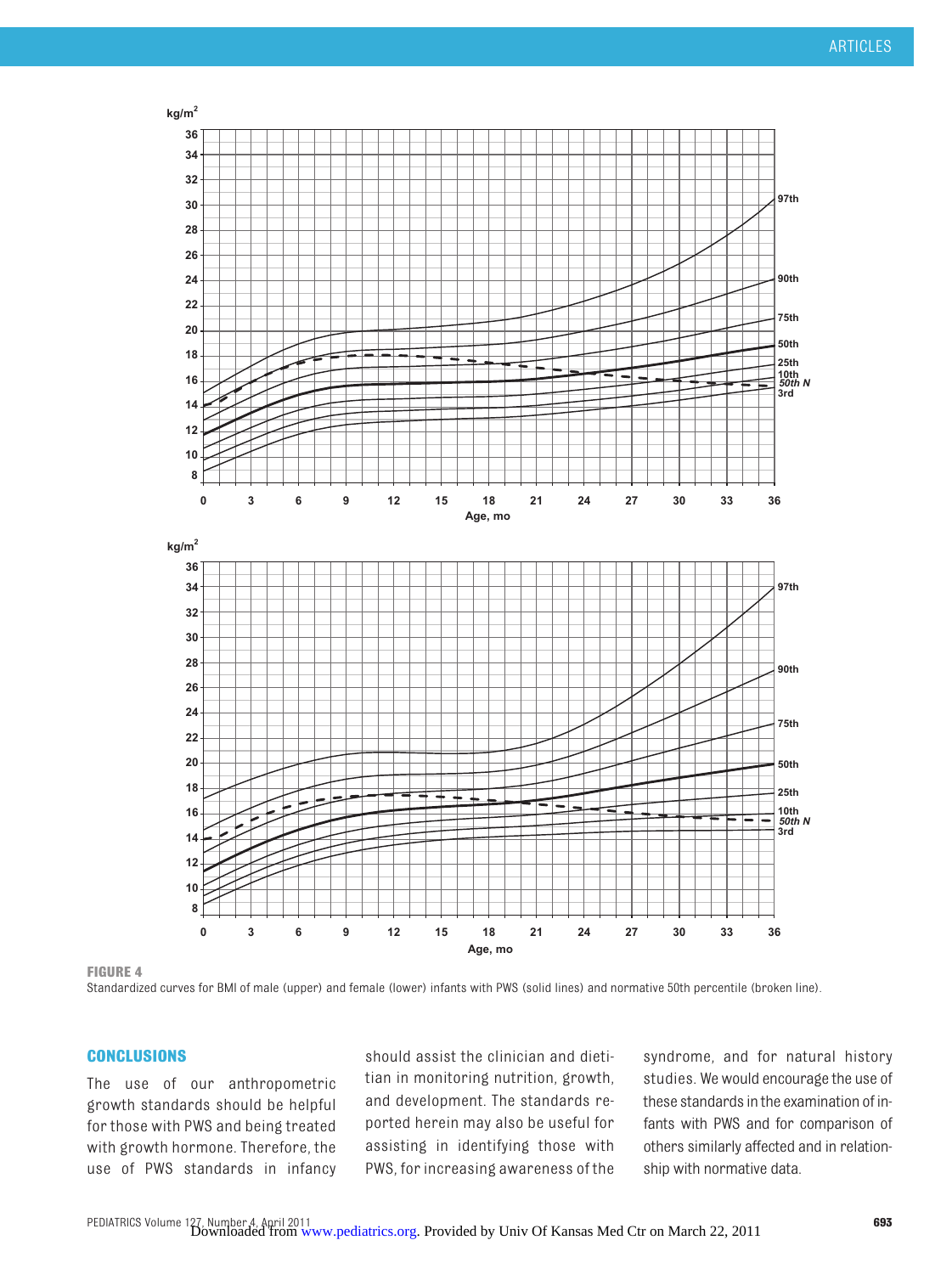

**FIGURE 4**

Standardized curves for BMI of male (upper) and female (lower) infants with PWS (solid lines) and normative 50th percentile (broken line).

#### **CONCLUSIONS**

The use of our anthropometric growth standards should be helpful for those with PWS and being treated with growth hormone. Therefore, the use of PWS standards in infancy should assist the clinician and dietitian in monitoring nutrition, growth, and development. The standards reported herein may also be useful for assisting in identifying those with PWS, for increasing awareness of the

syndrome, and for natural history studies. We would encourage the use of these standards inthe examination of infants with PWS and for comparison of others similarly affected and in relationship with normative data.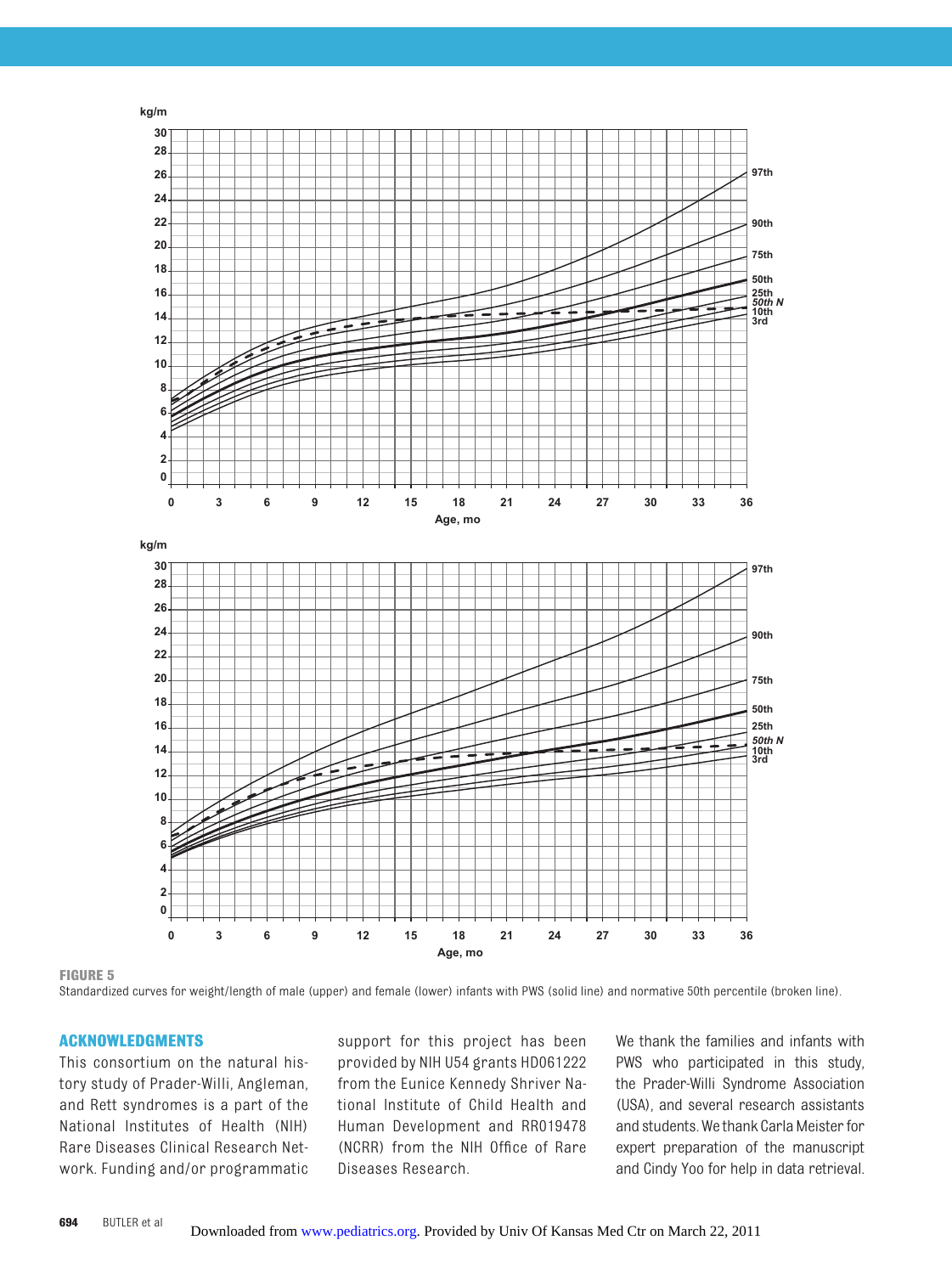

**FIGURE 5**

Standardized curves for weight/length of male (upper) and female (lower) infants with PWS (solid line) and normative 50th percentile (broken line).

#### **ACKNOWLEDGMENTS**

This consortium on the natural history study of Prader-Willi, Angleman, and Rett syndromes is a part of the National Institutes of Health (NIH) Rare Diseases Clinical Research Network. Funding and/or programmatic support for this project has been provided by NIH U54 grants HD061222 from the Eunice Kennedy Shriver National Institute of Child Health and Human Development and RR019478 (NCRR) from the NIH Office of Rare Diseases Research.

We thank the families and infants with PWS who participated in this study, the Prader-Willi Syndrome Association (USA), and several research assistants and students. Wethank CarlaMeister for expert preparation of the manuscript and Cindy Yoo for help in data retrieval.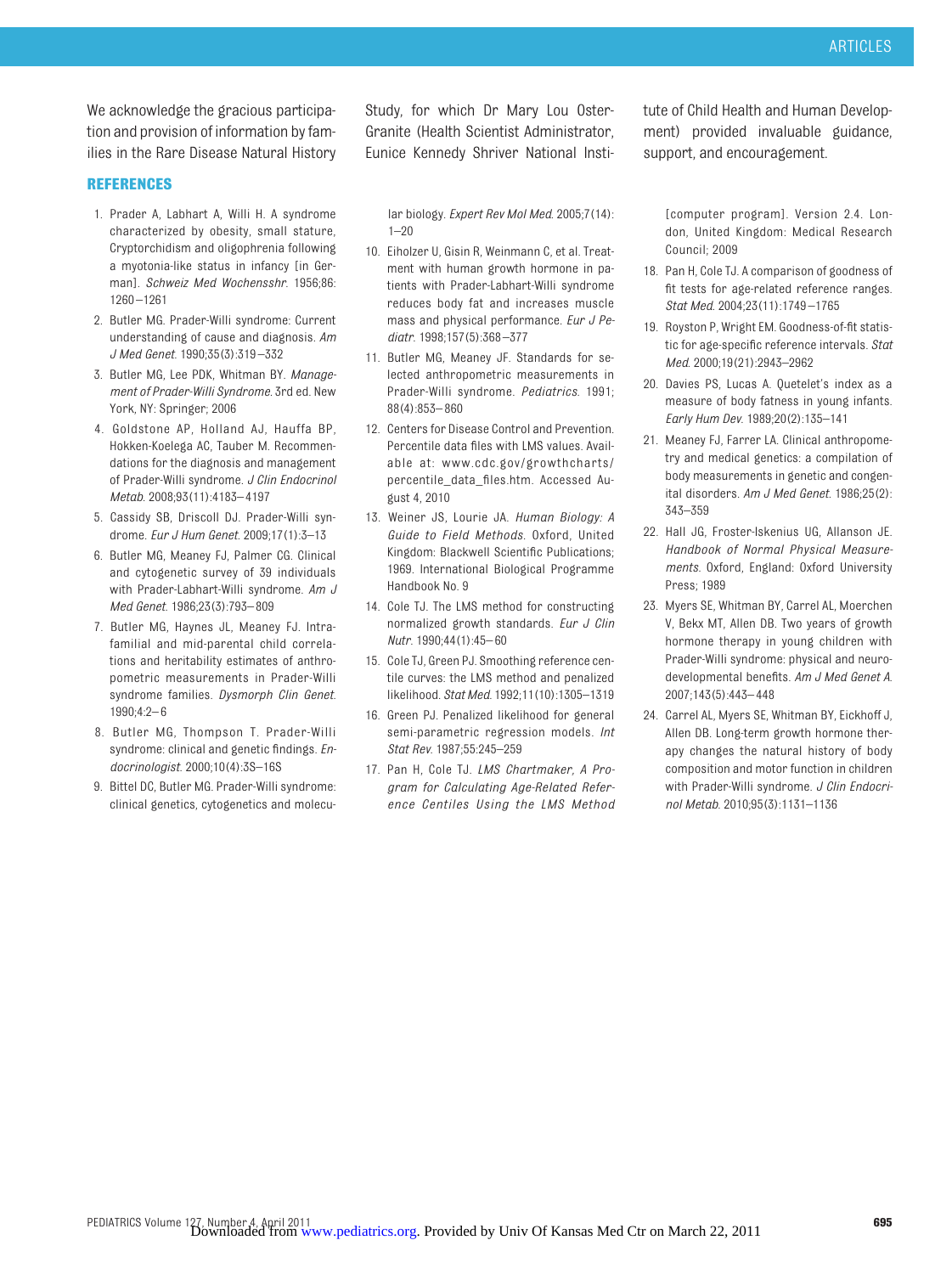We acknowledge the gracious participation and provision of information by families in the Rare Disease Natural History

#### **REFERENCES**

- <span id="page-9-0"></span>1. Prader A, Labhart A, Willi H. A syndrome characterized by obesity, small stature, Cryptorchidism and oligophrenia following a myotonia-like status in infancy [in German]. *Schweiz Med Wochensshr*. 1956;86: 1260 –1261
- <span id="page-9-1"></span>2. Butler MG. Prader-Willi syndrome: Current understanding of cause and diagnosis. *Am J Med Genet*. 1990;35(3):319 –332
- <span id="page-9-3"></span>3. Butler MG, Lee PDK, Whitman BY. *Management of Prader-Willi Syndrome.* 3rd ed. New York, NY: Springer; 2006
- <span id="page-9-20"></span>4. Goldstone AP, Holland AJ, Hauffa BP, Hokken-Koelega AC, Tauber M. Recommendations for the diagnosis and management of Prader-Willi syndrome. *J Clin Endocrinol Metab*. 2008;93(11):4183– 4197
- <span id="page-9-2"></span>5. Cassidy SB, Driscoll DJ. Prader-Willi syndrome. *Eur J Hum Genet*. 2009;17(1):3–13
- 6. Butler MG, Meaney FJ, Palmer CG. Clinical and cytogenetic survey of 39 individuals with Prader-Labhart-Willi syndrome. *Am J Med Genet*. 1986;23(3):793– 809
- <span id="page-9-4"></span>7. Butler MG, Haynes JL, Meaney FJ. Intrafamilial and mid-parental child correlations and heritability estimates of anthropometric measurements in Prader-Willi syndrome families. *Dysmorph Clin Genet*. 1990;4:2– 6
- <span id="page-9-5"></span>8. Butler MG, Thompson T. Prader-Willi syndrome: clinical and genetic findings. *Endocrinologist*. 2000;10(4):3S–16S
- <span id="page-9-6"></span>9. Bittel DC, Butler MG. Prader-Willi syndrome: clinical genetics, cytogenetics and molecu-

Study, for which Dr Mary Lou Oster-Granite (Health Scientist Administrator, Eunice Kennedy Shriver National Insti-

lar biology. *Expert Rev Mol Med*. 2005;7(14):  $1 - 20$ 

- <span id="page-9-7"></span>10. Eiholzer U, Gisin R, Weinmann C, et al. Treatment with human growth hormone in patients with Prader-Labhart-Willi syndrome reduces body fat and increases muscle mass and physical performance. *Eur J Pediatr*. 1998;157(5):368 –377
- <span id="page-9-8"></span>11. Butler MG, Meaney JF. Standards for selected anthropometric measurements in Prader-Willi syndrome. *Pediatrics*. 1991; 88(4):853– 860
- <span id="page-9-9"></span>12. Centers for Disease Control and Prevention. Percentile data files with LMS values. Available at: [www.cdc.gov/growthcharts/](www.cdc.gov/growthcharts/percentile_data_files.htm) [percentile\\_data\\_files.htm.](www.cdc.gov/growthcharts/percentile_data_files.htm) Accessed August 4, 2010
- <span id="page-9-10"></span>13. Weiner JS, Lourie JA. *Human Biology: A Guide to Field Methods*. Oxford, United Kingdom: Blackwell Scientific Publications; 1969. International Biological Programme Handbook No. 9
- <span id="page-9-11"></span>14. Cole TJ. The LMS method for constructing normalized growth standards. *Eur J Clin Nutr*. 1990;44(1):45– 60
- <span id="page-9-12"></span>15. Cole TJ, Green PJ. Smoothing reference centile curves: the LMS method and penalized likelihood. *Stat Med*. 1992;11(10):1305–1319
- <span id="page-9-13"></span>16. Green PJ. Penalized likelihood for general semi-parametric regression models. *Int Stat Rev*. 1987;55:245–259
- <span id="page-9-14"></span>17. Pan H, Cole TJ. *LMS Chartmaker, A Program for Calculating Age-Related Reference Centiles Using the LMS Method*

tute of Child Health and Human Development) provided invaluable guidance, support, and encouragement.

[computer program]. Version 2.4. London, United Kingdom: Medical Research Council; 2009

- <span id="page-9-15"></span>18. Pan H, Cole TJ. A comparison of goodness of fit tests for age-related reference ranges. *Stat Med*. 2004;23(11):1749 –1765
- <span id="page-9-16"></span>19. Royston P, Wright EM. Goodness-of-fit statistic for age-specific reference intervals. *Stat Med*. 2000;19(21):2943–2962
- <span id="page-9-17"></span>20. Davies PS, Lucas A. Quetelet's index as a measure of body fatness in young infants. *Early Hum Dev*. 1989;20(2):135–141
- <span id="page-9-18"></span>21. Meaney FJ, Farrer LA. Clinical anthropometry and medical genetics: a compilation of body measurements in genetic and congenital disorders. *Am J Med Genet*. 1986;25(2): 343–359
- <span id="page-9-19"></span>22. Hall JG, Froster-Iskenius UG, Allanson JE. *Handbook of Normal Physical Measurements.* Oxford, England: Oxford University Press; 1989
- <span id="page-9-21"></span>23. Myers SE, Whitman BY, Carrel AL, Moerchen V, Bekx MT, Allen DB. Two years of growth hormone therapy in young children with Prader-Willi syndrome: physical and neurodevelopmental benefits. *Am J Med Genet A*. 2007;143(5):443– 448
- <span id="page-9-22"></span>24. Carrel AL, Myers SE, Whitman BY, Eickhoff J, Allen DB. Long-term growth hormone therapy changes the natural history of body composition and motor function in children with Prader-Willi syndrome. *J Clin Endocrinol Metab*. 2010;95(3):1131–1136